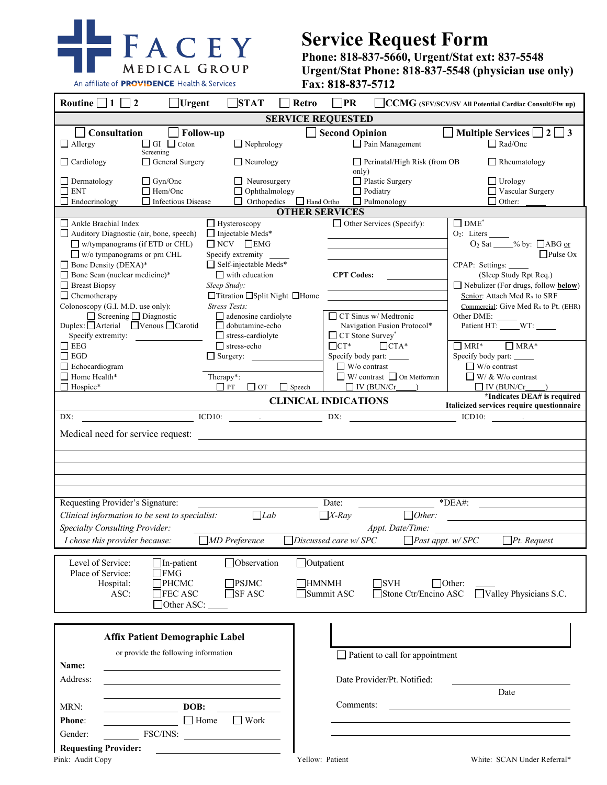

## **Service Request Form**

**Phone: 818-837-5660, Urgent/Stat ext: 837-5548 Urgent/Stat Phone: 818-837-5548 (physician use only) Fax: 818-837-5712**

| Routine $\Box$ 1 $\Box$<br>$\overline{2}$<br>Urgent                                                                                                                                                                                                                                                                                                                                                                                                            | <b>STAT</b><br><b>Retro</b>                                                                                                                                                                                                                                                                                                               | PR                                                                                                                                                                                                                 | CCMG (SFV/SCV/SV All Potential Cardiac Consult/Flw up)                                                                                                                                                                                                                                                                                                                                                                     |  |
|----------------------------------------------------------------------------------------------------------------------------------------------------------------------------------------------------------------------------------------------------------------------------------------------------------------------------------------------------------------------------------------------------------------------------------------------------------------|-------------------------------------------------------------------------------------------------------------------------------------------------------------------------------------------------------------------------------------------------------------------------------------------------------------------------------------------|--------------------------------------------------------------------------------------------------------------------------------------------------------------------------------------------------------------------|----------------------------------------------------------------------------------------------------------------------------------------------------------------------------------------------------------------------------------------------------------------------------------------------------------------------------------------------------------------------------------------------------------------------------|--|
| <b>SERVICE REQUESTED</b>                                                                                                                                                                                                                                                                                                                                                                                                                                       |                                                                                                                                                                                                                                                                                                                                           |                                                                                                                                                                                                                    |                                                                                                                                                                                                                                                                                                                                                                                                                            |  |
| Consultation<br>$\Box$ GI $\Box$ Colon<br>$\Box$ Allergy                                                                                                                                                                                                                                                                                                                                                                                                       | <b>Follow-up</b><br>$\Box$ Nephrology                                                                                                                                                                                                                                                                                                     | <b>Second Opinion</b><br>$\Box$ Pain Management                                                                                                                                                                    | $\Box$ Multiple Services $\Box$ 2 $\Box$ 3<br>$\Box$ Rad/Onc                                                                                                                                                                                                                                                                                                                                                               |  |
| Screening<br>General Surgery<br>$\Box$ Cardiology                                                                                                                                                                                                                                                                                                                                                                                                              | $\Box$ Neurology                                                                                                                                                                                                                                                                                                                          | $\Box$ Perinatal/High Risk (from OB<br>only)                                                                                                                                                                       | Rheumatology                                                                                                                                                                                                                                                                                                                                                                                                               |  |
| $\Box$ Dermatology<br>$\Box$ Gyn/Onc<br>$\hfill\blacksquare$<br>ENT<br>$\Box$ Hem/Onc<br>$\Box$ Endocrinology<br>Infectious Disease                                                                                                                                                                                                                                                                                                                            | $\Box$ Neurosurgery<br>$\Box$ Ophthalmology<br>$\Box$ Orthopedics $\Box$ Hand Ortho                                                                                                                                                                                                                                                       | Plastic Surgery<br>Podiatry<br>Pulmonology                                                                                                                                                                         | $\Box$ Urology<br>□ Vascular Surgery<br>$\Box$ Other:                                                                                                                                                                                                                                                                                                                                                                      |  |
|                                                                                                                                                                                                                                                                                                                                                                                                                                                                |                                                                                                                                                                                                                                                                                                                                           | <b>OTHER SERVICES</b>                                                                                                                                                                                              |                                                                                                                                                                                                                                                                                                                                                                                                                            |  |
| Ankle Brachial Index<br>Auditory Diagnostic (air, bone, speech)<br>$\Box$ w/tympanograms (if ETD or CHL)<br>$\Box$ w/o tympanograms or prn CHL<br>$\Box$ Bone Density (DEXA)*<br>$\Box$ Bone Scan (nuclear medicine)*<br>$\Box$ Breast Biopsy<br>$\Box$ Chemotherapy<br>Colonoscopy (G.I. M.D. use only):<br>$\Box$ Screening $\Box$ Diagnostic<br>Duplex: Arterial Venous Ocarotid<br>Specify extremity:<br>$\Box$ EEG<br>$\Box$ EGD<br>$\Box$ Echocardiogram | Hysteroscopy<br>□ Injectable Meds*<br>$\Box$ NCV $\Box$ EMG<br>Specify extremity<br>$\Box$ Self-injectable Meds*<br>$\Box$ with education<br>Sleep Study:<br>□Titration □Split Night □Home<br><b>Stress Tests:</b><br>$\Box$ adenosine cardiolyte<br>$\Box$ dobutamine-echo<br>$\Box$ stress-cardiolyte<br>$\Box$ stress-echo<br>Surgery: | $\Box$ Other Services (Specify):<br><b>CPT Codes:</b><br>CT Sinus w/ Medtronic<br>Navigation Fusion Protocol*<br>$\Box$ CT Stone Survey*<br>$\Box$ CT*<br>$\Box$ CTA*<br>Specify body part:<br>$\Box$ W/o contrast | $\Box$ DME <sup>*</sup><br>O <sub>2</sub> : Liters ______<br>$O_2$ Sat $\_\_\%$ by: $\Box$ ABG or<br>$\Box$ Pulse Ox<br>CPAP: Settings:<br>(Sleep Study Rpt Req.)<br>$\Box$ Nebulizer (For drugs, follow below)<br>Senior: Attach Med R <sub>x</sub> to SRF<br>Commercial: Give Med $R_x$ to Pt. (EHR)<br>Other DME:<br>Patient HT: _____WT: _____<br>$\Box$ MRI* $\Box$ MRA*<br>Specify body part:<br>$\Box$ W/o contrast |  |
| $\Box$ Home Health*                                                                                                                                                                                                                                                                                                                                                                                                                                            | Therapy*:                                                                                                                                                                                                                                                                                                                                 | $\Box$ W/ contrast $\Box$ On Metformin                                                                                                                                                                             | $\Box$ W/ & W/o contrast                                                                                                                                                                                                                                                                                                                                                                                                   |  |
| $\Box$ Hospice*                                                                                                                                                                                                                                                                                                                                                                                                                                                | $\Box$ PT<br>$\Box$ ot<br>$\Box$ Speech                                                                                                                                                                                                                                                                                                   | $\Box$ IV (BUN/Cr )                                                                                                                                                                                                | $\Box$ IV (BUN/Cr                                                                                                                                                                                                                                                                                                                                                                                                          |  |
| *Indicates DEA# is required<br><b>CLINICAL INDICATIONS</b><br>Italicized services require questionnaire                                                                                                                                                                                                                                                                                                                                                        |                                                                                                                                                                                                                                                                                                                                           |                                                                                                                                                                                                                    |                                                                                                                                                                                                                                                                                                                                                                                                                            |  |
| ICD10:<br>DX:<br>DX:<br>$ICD10:$ $\qquad \qquad$                                                                                                                                                                                                                                                                                                                                                                                                               |                                                                                                                                                                                                                                                                                                                                           |                                                                                                                                                                                                                    |                                                                                                                                                                                                                                                                                                                                                                                                                            |  |
|                                                                                                                                                                                                                                                                                                                                                                                                                                                                |                                                                                                                                                                                                                                                                                                                                           |                                                                                                                                                                                                                    |                                                                                                                                                                                                                                                                                                                                                                                                                            |  |
|                                                                                                                                                                                                                                                                                                                                                                                                                                                                |                                                                                                                                                                                                                                                                                                                                           |                                                                                                                                                                                                                    |                                                                                                                                                                                                                                                                                                                                                                                                                            |  |
| $*DEA#$ :<br>Requesting Provider's Signature:<br>Date:<br>Lab<br>$\Box X$ -Ray<br>$\Box$ Other:<br>Clinical information to be sent to specialist:<br><b>Specialty Consulting Provider:</b><br>Appt. Date/Time:<br>$\Box$ MD Preference<br>$D$ iscussed care w/SPC<br>$\Box$ Past appt. w/ SPC<br>$\Box$ Pt. Request<br>I chose this provider because:                                                                                                          |                                                                                                                                                                                                                                                                                                                                           |                                                                                                                                                                                                                    |                                                                                                                                                                                                                                                                                                                                                                                                                            |  |
|                                                                                                                                                                                                                                                                                                                                                                                                                                                                |                                                                                                                                                                                                                                                                                                                                           |                                                                                                                                                                                                                    |                                                                                                                                                                                                                                                                                                                                                                                                                            |  |
| Level of Service:<br>□Outpatient<br>In-patient<br><b>Observation</b><br>Place of Service:<br>FMG<br>Hospital:<br><b>PHCMC</b><br>]PSJMC<br><b>HMNMH</b><br>$\Box$ SVH<br>$\Box$ Other:<br><b>FEC ASC</b><br>$\Box$ SF ASC<br>Summit ASC<br>Stone Ctr/Encino ASC<br>Valley Physicians S.C.<br>ASC:<br>Other ASC:                                                                                                                                                |                                                                                                                                                                                                                                                                                                                                           |                                                                                                                                                                                                                    |                                                                                                                                                                                                                                                                                                                                                                                                                            |  |
| <b>Affix Patient Demographic Label</b>                                                                                                                                                                                                                                                                                                                                                                                                                         |                                                                                                                                                                                                                                                                                                                                           |                                                                                                                                                                                                                    |                                                                                                                                                                                                                                                                                                                                                                                                                            |  |
| or provide the following information                                                                                                                                                                                                                                                                                                                                                                                                                           |                                                                                                                                                                                                                                                                                                                                           | $\Box$ Patient to call for appointment                                                                                                                                                                             |                                                                                                                                                                                                                                                                                                                                                                                                                            |  |
| Name:<br>Address:                                                                                                                                                                                                                                                                                                                                                                                                                                              |                                                                                                                                                                                                                                                                                                                                           | Date Provider/Pt. Notified:                                                                                                                                                                                        |                                                                                                                                                                                                                                                                                                                                                                                                                            |  |
|                                                                                                                                                                                                                                                                                                                                                                                                                                                                |                                                                                                                                                                                                                                                                                                                                           | Date                                                                                                                                                                                                               |                                                                                                                                                                                                                                                                                                                                                                                                                            |  |
| DOB:<br>MRN:                                                                                                                                                                                                                                                                                                                                                                                                                                                   |                                                                                                                                                                                                                                                                                                                                           | Comments:                                                                                                                                                                                                          |                                                                                                                                                                                                                                                                                                                                                                                                                            |  |
| $\Box$ Home<br>$\hfill\blacksquare$ Work<br>Phone:                                                                                                                                                                                                                                                                                                                                                                                                             |                                                                                                                                                                                                                                                                                                                                           |                                                                                                                                                                                                                    |                                                                                                                                                                                                                                                                                                                                                                                                                            |  |
| FSC/INS:<br>Gender:                                                                                                                                                                                                                                                                                                                                                                                                                                            |                                                                                                                                                                                                                                                                                                                                           |                                                                                                                                                                                                                    |                                                                                                                                                                                                                                                                                                                                                                                                                            |  |
| <b>Requesting Provider:</b>                                                                                                                                                                                                                                                                                                                                                                                                                                    |                                                                                                                                                                                                                                                                                                                                           |                                                                                                                                                                                                                    |                                                                                                                                                                                                                                                                                                                                                                                                                            |  |